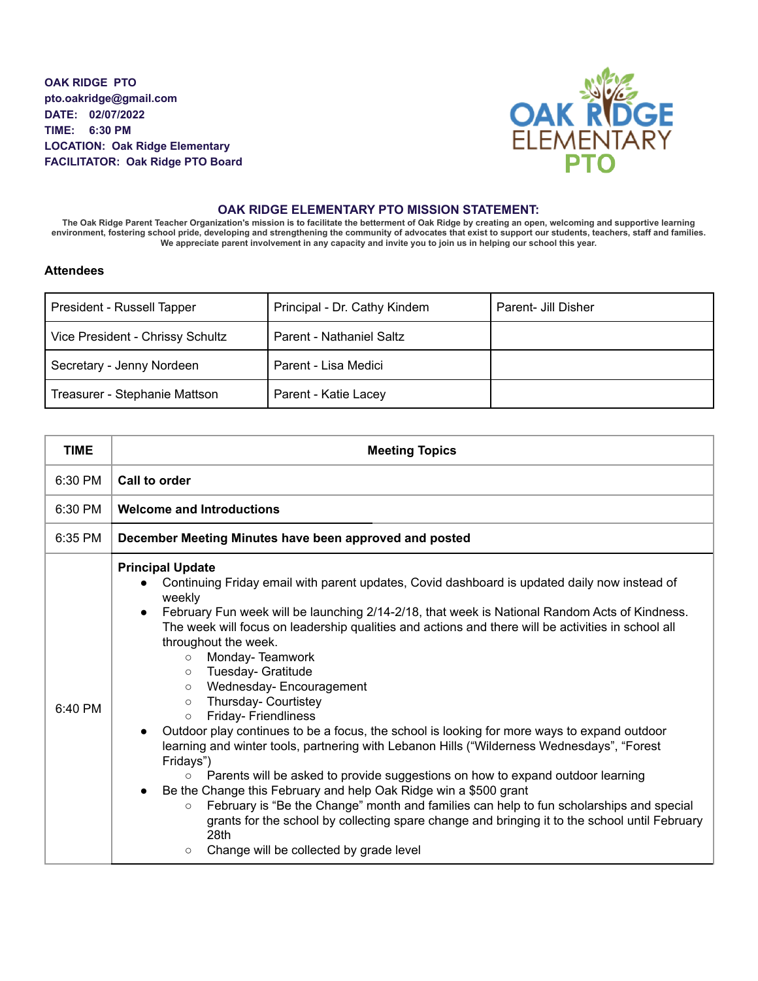**OAK RIDGE PTO pto.oakridge@gmail.com DATE: 02/07/2022 TIME: 6:30 PM LOCATION: Oak Ridge Elementary FACILITATOR: Oak Ridge PTO Board**



## **OAK RIDGE ELEMENTARY PTO MISSION STATEMENT:**

The Oak Ridge Parent Teacher Organization's mission is to facilitate the betterment of Oak Ridge by creating an open, welcoming and supportive learning environment, fostering school pride, developing and strengthening the community of advocates that exist to support our students, teachers, staff and families. We appreciate parent involvement in any capacity and invite you to join us in helping our school this year.

## **Attendees**

| President - Russell Tapper       | Principal - Dr. Cathy Kindem | Parent- Jill Disher |
|----------------------------------|------------------------------|---------------------|
| Vice President - Chrissy Schultz | Parent - Nathaniel Saltz     |                     |
| Secretary - Jenny Nordeen        | Parent - Lisa Medici         |                     |
| Treasurer - Stephanie Mattson    | Parent - Katie Lacey         |                     |

| <b>TIME</b> | <b>Meeting Topics</b>                                                                                                                                                                                                                                                                                                                                                                                                                                                                                                                                                                                                                                                                                                                                                                                                                                                                                                                                                                                                                                                                                                                                                                 |  |  |
|-------------|---------------------------------------------------------------------------------------------------------------------------------------------------------------------------------------------------------------------------------------------------------------------------------------------------------------------------------------------------------------------------------------------------------------------------------------------------------------------------------------------------------------------------------------------------------------------------------------------------------------------------------------------------------------------------------------------------------------------------------------------------------------------------------------------------------------------------------------------------------------------------------------------------------------------------------------------------------------------------------------------------------------------------------------------------------------------------------------------------------------------------------------------------------------------------------------|--|--|
| 6:30 PM     | Call to order                                                                                                                                                                                                                                                                                                                                                                                                                                                                                                                                                                                                                                                                                                                                                                                                                                                                                                                                                                                                                                                                                                                                                                         |  |  |
| 6:30 PM     | <b>Welcome and Introductions</b>                                                                                                                                                                                                                                                                                                                                                                                                                                                                                                                                                                                                                                                                                                                                                                                                                                                                                                                                                                                                                                                                                                                                                      |  |  |
| 6:35 PM     | December Meeting Minutes have been approved and posted                                                                                                                                                                                                                                                                                                                                                                                                                                                                                                                                                                                                                                                                                                                                                                                                                                                                                                                                                                                                                                                                                                                                |  |  |
| $6:40$ PM   | <b>Principal Update</b><br>Continuing Friday email with parent updates, Covid dashboard is updated daily now instead of<br>weekly<br>February Fun week will be launching 2/14-2/18, that week is National Random Acts of Kindness.<br>The week will focus on leadership qualities and actions and there will be activities in school all<br>throughout the week.<br>Monday-Teamwork<br>$\circ$<br>Tuesday- Gratitude<br>$\circ$<br>Wednesday-Encouragement<br>$\circ$<br>Thursday- Courtistey<br>$\circ$<br>Friday- Friendliness<br>$\circ$<br>Outdoor play continues to be a focus, the school is looking for more ways to expand outdoor<br>learning and winter tools, partnering with Lebanon Hills ("Wilderness Wednesdays", "Forest<br>Fridays")<br>Parents will be asked to provide suggestions on how to expand outdoor learning<br>$\circ$<br>Be the Change this February and help Oak Ridge win a \$500 grant<br>February is "Be the Change" month and families can help to fun scholarships and special<br>$\circ$<br>grants for the school by collecting spare change and bringing it to the school until February<br>28th<br>Change will be collected by grade level<br>O |  |  |